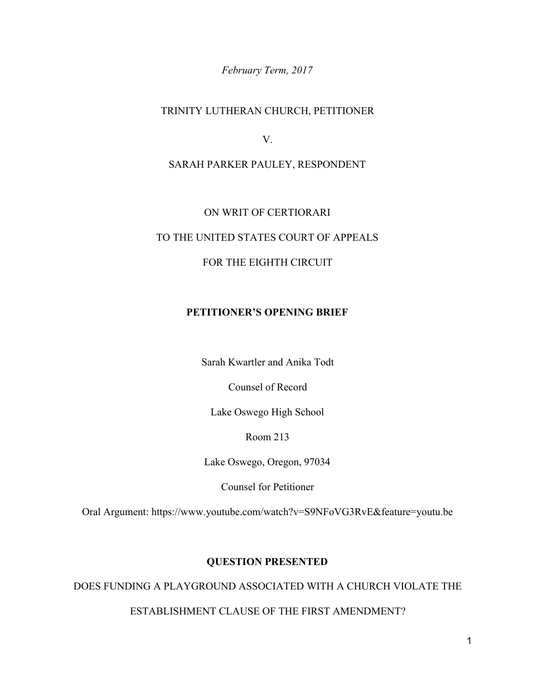*February Term, 2017*

## TRINITY LUTHERAN CHURCH, PETITIONER

V.

SARAH PARKER PAULEY, RESPONDENT

#### ON WRIT OF CERTIORARI

# TO THE UNITED STATES COURT OF APPEALS

### FOR THE EIGHTH CIRCUIT

#### **PETITIONER'S OPENING BRIEF**

Sarah Kwartler and Anika Todt

Counsel of Record

Lake Oswego High School

Room 213

Lake Oswego, Oregon, 97034

Counsel for Petitioner

Oral Argument: https://www.youtube.com/watch?v=S9NFoVG3RvE&feature=youtu.be

#### **QUESTION PRESENTED**

DOES FUNDING A PLAYGROUND ASSOCIATED WITH A CHURCH VIOLATE THE

### ESTABLISHMENT CLAUSE OF THE FIRST AMENDMENT?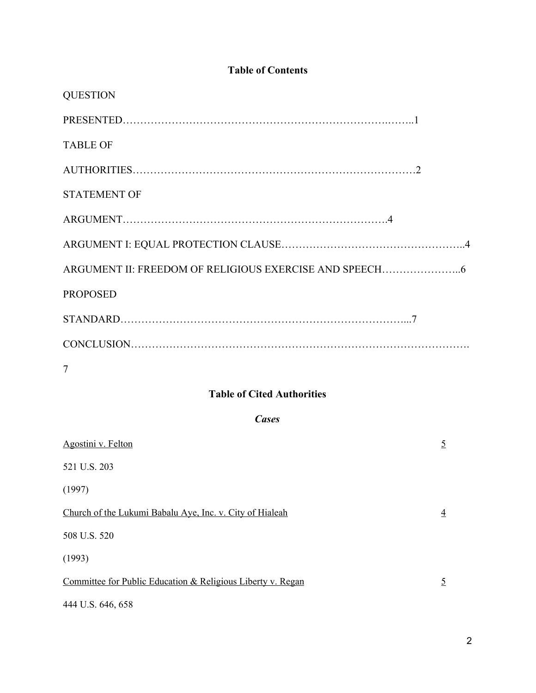# **Table of Contents**

| <b>QUESTION</b>     |
|---------------------|
|                     |
| <b>TABLE OF</b>     |
|                     |
| <b>STATEMENT OF</b> |
|                     |
|                     |
|                     |
| <b>PROPOSED</b>     |
|                     |
|                     |
| 7                   |

# **Table of Cited Authorities**

## *Cases*

| Agostini v. Felton                                          | $\overline{5}$ |
|-------------------------------------------------------------|----------------|
| 521 U.S. 203                                                |                |
| (1997)                                                      |                |
| Church of the Lukumi Babalu Aye, Inc. v. City of Hialeah    | $\overline{4}$ |
| 508 U.S. 520                                                |                |
| (1993)                                                      |                |
| Committee for Public Education & Religious Liberty v. Regan | $\overline{5}$ |
| 444 U.S. 646, 658                                           |                |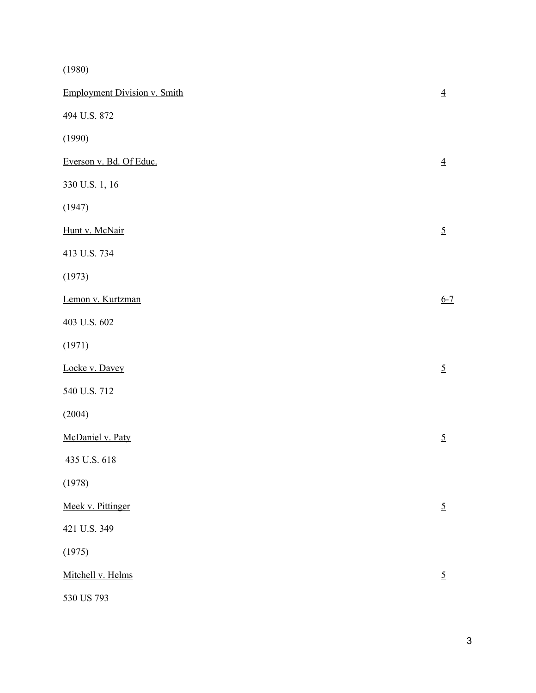(1980)

| <b>Employment Division v. Smith</b> | $\overline{4}$  |
|-------------------------------------|-----------------|
| 494 U.S. 872                        |                 |
| (1990)                              |                 |
| Everson v. Bd. Of Educ.             | $\underline{4}$ |
| 330 U.S. 1, 16                      |                 |
| (1947)                              |                 |
| Hunt v. McNair                      | $\overline{5}$  |
| 413 U.S. 734                        |                 |
| (1973)                              |                 |
| Lemon v. Kurtzman                   | $6 - 7$         |
| 403 U.S. 602                        |                 |
| (1971)                              |                 |
| Locke v. Davey                      | $\overline{5}$  |
| 540 U.S. 712                        |                 |
| (2004)                              |                 |
| McDaniel v. Paty                    | $\overline{5}$  |
| 435 U.S. 618                        |                 |
| (1978)                              |                 |
| Meek v. Pittinger                   | $\overline{5}$  |
| 421 U.S. 349                        |                 |
| (1975)                              |                 |
| Mitchell v. Helms                   | $\overline{5}$  |
| 530 US 793                          |                 |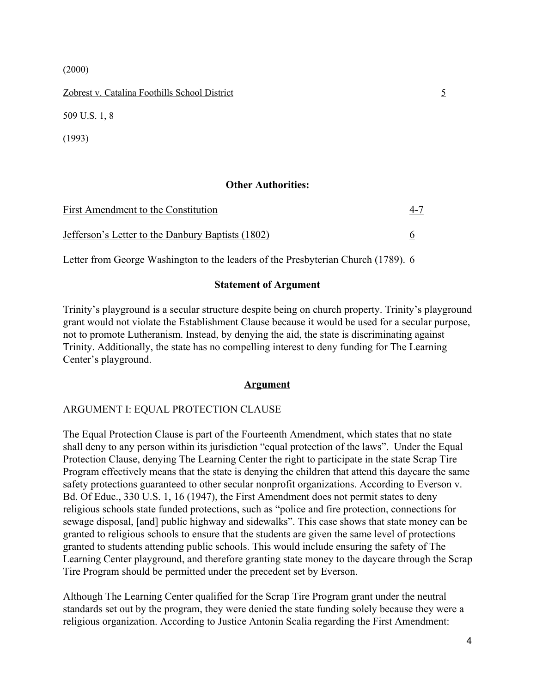(2000)

Zobrest v. Catalina Foothills School District 5

509 U.S. 1, 8

(1993)

### **Other Authorities:**

| First Amendment to the Constitution                      | $4 - 7$ |
|----------------------------------------------------------|---------|
| <u>Jefferson's Letter to the Danbury Baptists (1802)</u> |         |

Letter from George Washington to the leaders of the Presbyterian Church (1789). 6

### **Statement of Argument**

Trinity's playground is a secular structure despite being on church property. Trinity's playground grant would not violate the Establishment Clause because it would be used for a secular purpose, not to promote Lutheranism. Instead, by denying the aid, the state is discriminating against Trinity. Additionally, the state has no compelling interest to deny funding for The Learning Center's playground.

### **Argument**

## ARGUMENT I: EQUAL PROTECTION CLAUSE

The Equal Protection Clause is part of the Fourteenth Amendment, which states that no state shall deny to any person within its jurisdiction "equal protection of the laws". Under the Equal Protection Clause, denying The Learning Center the right to participate in the state Scrap Tire Program effectively means that the state is denying the children that attend this daycare the same safety protections guaranteed to other secular nonprofit organizations. According to Everson v. Bd. Of Educ., 330 U.S. 1, 16 (1947), the First Amendment does not permit states to deny religious schools state funded protections, such as "police and fire protection, connections for sewage disposal, [and] public highway and sidewalks". This case shows that state money can be granted to religious schools to ensure that the students are given the same level of protections granted to students attending public schools. This would include ensuring the safety of The Learning Center playground, and therefore granting state money to the daycare through the Scrap Tire Program should be permitted under the precedent set by Everson.

Although The Learning Center qualified for the Scrap Tire Program grant under the neutral standards set out by the program, they were denied the state funding solely because they were a religious organization. According to Justice Antonin Scalia regarding the First Amendment: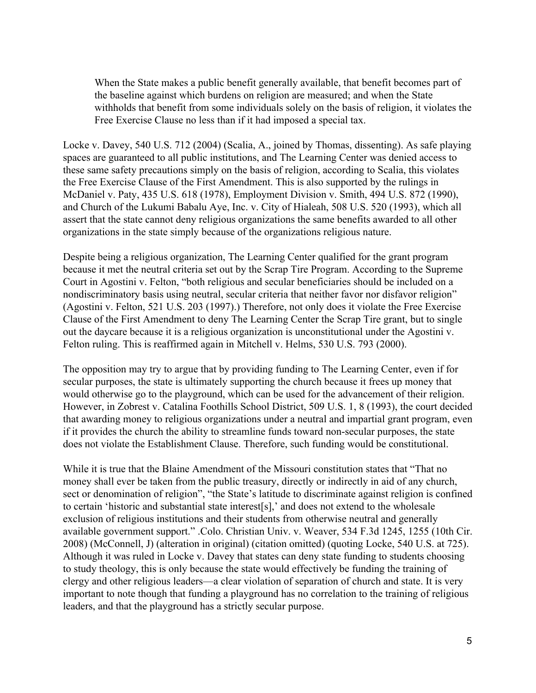When the State makes a public benefit generally available, that benefit becomes part of the baseline against which burdens on religion are measured; and when the State withholds that benefit from some individuals solely on the basis of religion, it violates the Free Exercise Clause no less than if it had imposed a special tax.

Locke v. Davey, 540 U.S. 712 (2004) (Scalia, A., joined by Thomas, dissenting). As safe playing spaces are guaranteed to all public institutions, and The Learning Center was denied access to these same safety precautions simply on the basis of religion, according to Scalia, this violates the Free Exercise Clause of the First Amendment. This is also supported by the rulings in McDaniel v. Paty, 435 U.S. 618 (1978), Employment Division v. Smith, 494 U.S. 872 (1990), and Church of the Lukumi Babalu Aye, Inc. v. City of Hialeah, 508 U.S. 520 (1993), which all assert that the state cannot deny religious organizations the same benefits awarded to all other organizations in the state simply because of the organizations religious nature.

Despite being a religious organization, The Learning Center qualified for the grant program because it met the neutral criteria set out by the Scrap Tire Program. According to the Supreme Court in Agostini v. Felton, "both religious and secular beneficiaries should be included on a nondiscriminatory basis using neutral, secular criteria that neither favor nor disfavor religion" (Agostini v. Felton, 521 U.S. 203 (1997).) Therefore, not only does it violate the Free Exercise Clause of the First Amendment to deny The Learning Center the Scrap Tire grant, but to single out the daycare because it is a religious organization is unconstitutional under the Agostini v. Felton ruling. This is reaffirmed again in Mitchell v. Helms, 530 U.S. 793 (2000).

The opposition may try to argue that by providing funding to The Learning Center, even if for secular purposes, the state is ultimately supporting the church because it frees up money that would otherwise go to the playground, which can be used for the advancement of their religion. However, in Zobrest v. Catalina Foothills School District, 509 U.S. 1, 8 (1993), the court decided that awarding money to religious organizations under a neutral and impartial grant program, even if it provides the church the ability to streamline funds toward non-secular purposes, the state does not violate the Establishment Clause. Therefore, such funding would be constitutional.

While it is true that the Blaine Amendment of the Missouri constitution states that "That no money shall ever be taken from the public treasury, directly or indirectly in aid of any church, sect or denomination of religion", "the State's latitude to discriminate against religion is confined to certain 'historic and substantial state interest[s],' and does not extend to the wholesale exclusion of religious institutions and their students from otherwise neutral and generally available government support." .Colo. Christian Univ. v. Weaver, 534 F.3d 1245, 1255 (10th Cir. 2008) (McConnell, J) (alteration in original) (citation omitted) (quoting Locke, 540 U.S. at 725). Although it was ruled in Locke v. Davey that states can deny state funding to students choosing to study theology, this is only because the state would effectively be funding the training of clergy and other religious leaders—a clear violation of separation of church and state. It is very important to note though that funding a playground has no correlation to the training of religious leaders, and that the playground has a strictly secular purpose.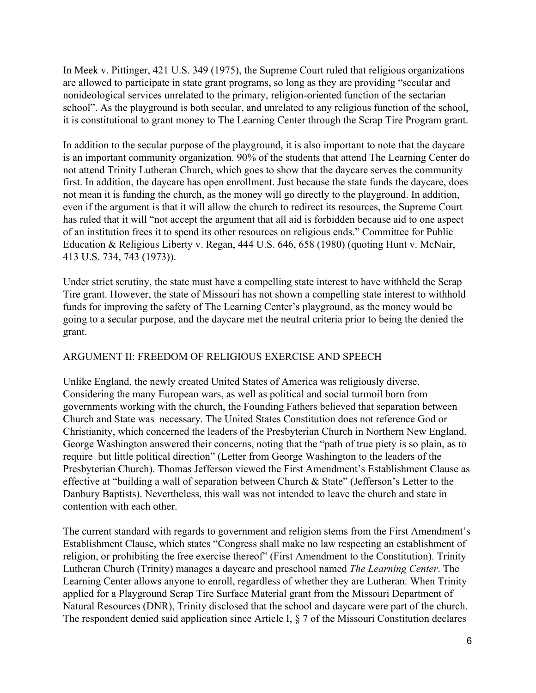In Meek v. Pittinger, 421 U.S. 349 (1975), the Supreme Court ruled that religious organizations are allowed to participate in state grant programs, so long as they are providing "secular and nonideological services unrelated to the primary, religion-oriented function of the sectarian school". As the playground is both secular, and unrelated to any religious function of the school, it is constitutional to grant money to The Learning Center through the Scrap Tire Program grant.

In addition to the secular purpose of the playground, it is also important to note that the daycare is an important community organization. 90% of the students that attend The Learning Center do not attend Trinity Lutheran Church, which goes to show that the daycare serves the community first. In addition, the daycare has open enrollment. Just because the state funds the daycare, does not mean it is funding the church, as the money will go directly to the playground. In addition, even if the argument is that it will allow the church to redirect its resources, the Supreme Court has ruled that it will "not accept the argument that all aid is forbidden because aid to one aspect of an institution frees it to spend its other resources on religious ends." Committee for Public Education & Religious Liberty v. Regan, 444 U.S. 646, 658 (1980) (quoting Hunt v. McNair, 413 U.S. 734, 743 (1973)).

Under strict scrutiny, the state must have a compelling state interest to have withheld the Scrap Tire grant. However, the state of Missouri has not shown a compelling state interest to withhold funds for improving the safety of The Learning Center's playground, as the money would be going to a secular purpose, and the daycare met the neutral criteria prior to being the denied the grant.

## ARGUMENT II: FREEDOM OF RELIGIOUS EXERCISE AND SPEECH

Unlike England, the newly created United States of America was religiously diverse. Considering the many European wars, as well as political and social turmoil born from governments working with the church, the Founding Fathers believed that separation between Church and State was necessary. The United States Constitution does not reference God or Christianity, which concerned the leaders of the Presbyterian Church in Northern New England. George Washington answered their concerns, noting that the "path of true piety is so plain, as to require but little political direction" (Letter from George Washington to the leaders of the Presbyterian Church). Thomas Jefferson viewed the First Amendment's Establishment Clause as effective at "building a wall of separation between Church & State" (Jefferson's Letter to the Danbury Baptists). Nevertheless, this wall was not intended to leave the church and state in contention with each other.

The current standard with regards to government and religion stems from the First Amendment's Establishment Clause, which states "Congress shall make no law respecting an establishment of religion, or prohibiting the free exercise thereof" (First Amendment to the Constitution). Trinity Lutheran Church (Trinity) manages a daycare and preschool named *The Learning Center*. The Learning Center allows anyone to enroll, regardless of whether they are Lutheran. When Trinity applied for a Playground Scrap Tire Surface Material grant from the Missouri Department of Natural Resources (DNR), Trinity disclosed that the school and daycare were part of the church. The respondent denied said application since Article I, § 7 of the Missouri Constitution declares